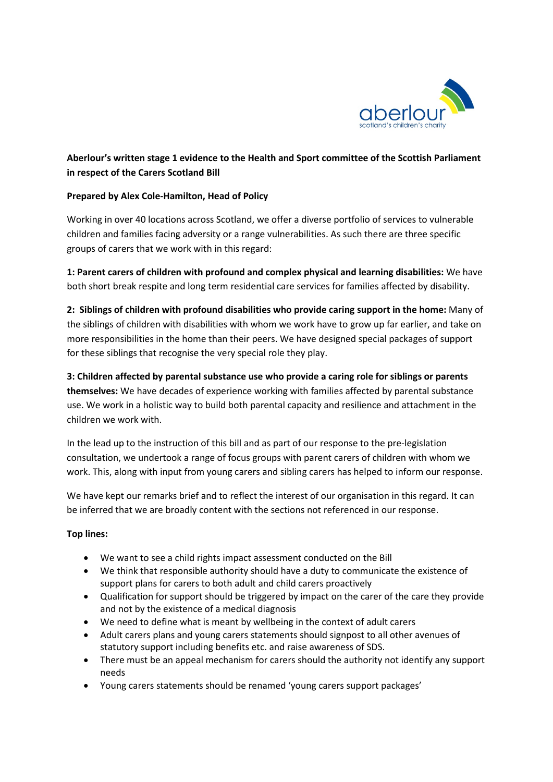

# **Aberlour's written stage 1 evidence to the Health and Sport committee of the Scottish Parliament in respect of the Carers Scotland Bill**

### **Prepared by Alex Cole-Hamilton, Head of Policy**

Working in over 40 locations across Scotland, we offer a diverse portfolio of services to vulnerable children and families facing adversity or a range vulnerabilities. As such there are three specific groups of carers that we work with in this regard:

**1: Parent carers of children with profound and complex physical and learning disabilities:** We have both short break respite and long term residential care services for families affected by disability.

**2: Siblings of children with profound disabilities who provide caring support in the home:** Many of the siblings of children with disabilities with whom we work have to grow up far earlier, and take on more responsibilities in the home than their peers. We have designed special packages of support for these siblings that recognise the very special role they play.

**3: Children affected by parental substance use who provide a caring role for siblings or parents themselves:** We have decades of experience working with families affected by parental substance use. We work in a holistic way to build both parental capacity and resilience and attachment in the children we work with.

In the lead up to the instruction of this bill and as part of our response to the pre-legislation consultation, we undertook a range of focus groups with parent carers of children with whom we work. This, along with input from young carers and sibling carers has helped to inform our response.

We have kept our remarks brief and to reflect the interest of our organisation in this regard. It can be inferred that we are broadly content with the sections not referenced in our response.

## **Top lines:**

- We want to see a child rights impact assessment conducted on the Bill
- We think that responsible authority should have a duty to communicate the existence of support plans for carers to both adult and child carers proactively
- Qualification for support should be triggered by impact on the carer of the care they provide and not by the existence of a medical diagnosis
- We need to define what is meant by wellbeing in the context of adult carers
- Adult carers plans and young carers statements should signpost to all other avenues of statutory support including benefits etc. and raise awareness of SDS.
- There must be an appeal mechanism for carers should the authority not identify any support needs
- Young carers statements should be renamed 'young carers support packages'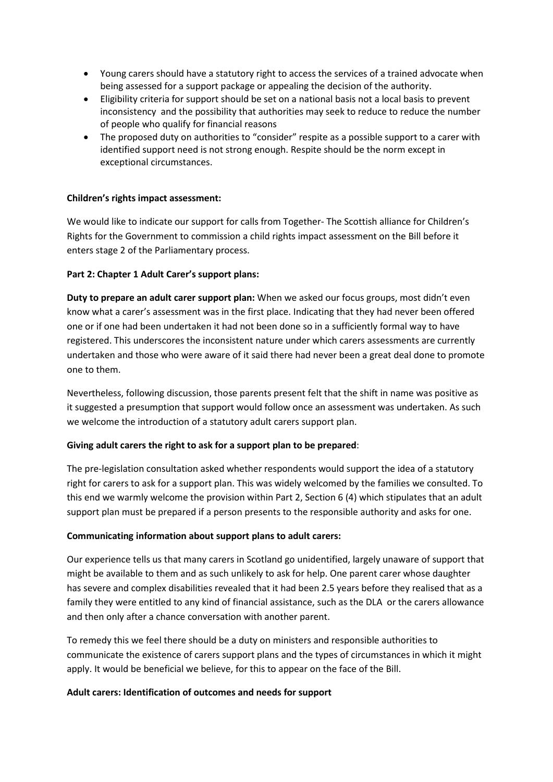- Young carers should have a statutory right to access the services of a trained advocate when being assessed for a support package or appealing the decision of the authority.
- Eligibility criteria for support should be set on a national basis not a local basis to prevent inconsistency and the possibility that authorities may seek to reduce to reduce the number of people who qualify for financial reasons
- The proposed duty on authorities to "consider" respite as a possible support to a carer with identified support need is not strong enough. Respite should be the norm except in exceptional circumstances.

### **Children's rights impact assessment:**

We would like to indicate our support for calls from Together- The Scottish alliance for Children's Rights for the Government to commission a child rights impact assessment on the Bill before it enters stage 2 of the Parliamentary process.

### **Part 2: Chapter 1 Adult Carer's support plans:**

**Duty to prepare an adult carer support plan:** When we asked our focus groups, most didn't even know what a carer's assessment was in the first place. Indicating that they had never been offered one or if one had been undertaken it had not been done so in a sufficiently formal way to have registered. This underscores the inconsistent nature under which carers assessments are currently undertaken and those who were aware of it said there had never been a great deal done to promote one to them.

Nevertheless, following discussion, those parents present felt that the shift in name was positive as it suggested a presumption that support would follow once an assessment was undertaken. As such we welcome the introduction of a statutory adult carers support plan.

### **Giving adult carers the right to ask for a support plan to be prepared**:

The pre-legislation consultation asked whether respondents would support the idea of a statutory right for carers to ask for a support plan. This was widely welcomed by the families we consulted. To this end we warmly welcome the provision within Part 2, Section 6 (4) which stipulates that an adult support plan must be prepared if a person presents to the responsible authority and asks for one.

### **Communicating information about support plans to adult carers:**

Our experience tells us that many carers in Scotland go unidentified, largely unaware of support that might be available to them and as such unlikely to ask for help. One parent carer whose daughter has severe and complex disabilities revealed that it had been 2.5 years before they realised that as a family they were entitled to any kind of financial assistance, such as the DLA or the carers allowance and then only after a chance conversation with another parent.

To remedy this we feel there should be a duty on ministers and responsible authorities to communicate the existence of carers support plans and the types of circumstances in which it might apply. It would be beneficial we believe, for this to appear on the face of the Bill.

### **Adult carers: Identification of outcomes and needs for support**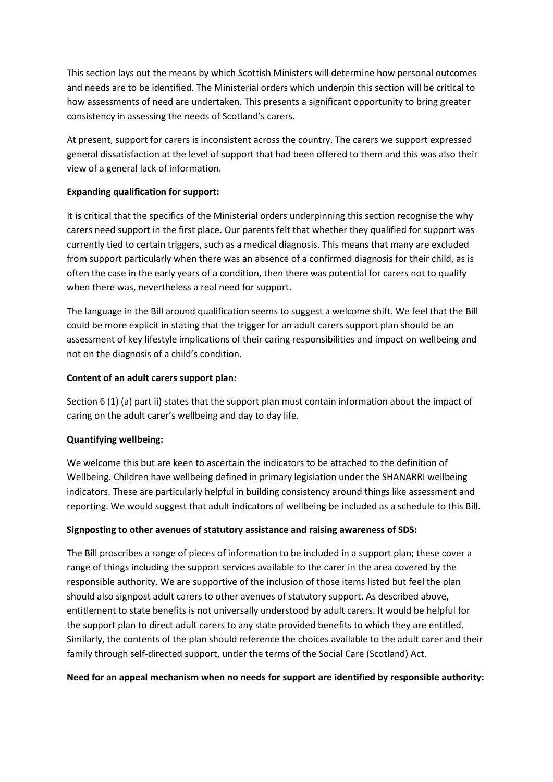This section lays out the means by which Scottish Ministers will determine how personal outcomes and needs are to be identified. The Ministerial orders which underpin this section will be critical to how assessments of need are undertaken. This presents a significant opportunity to bring greater consistency in assessing the needs of Scotland's carers.

At present, support for carers is inconsistent across the country. The carers we support expressed general dissatisfaction at the level of support that had been offered to them and this was also their view of a general lack of information.

## **Expanding qualification for support:**

It is critical that the specifics of the Ministerial orders underpinning this section recognise the why carers need support in the first place. Our parents felt that whether they qualified for support was currently tied to certain triggers, such as a medical diagnosis. This means that many are excluded from support particularly when there was an absence of a confirmed diagnosis for their child, as is often the case in the early years of a condition, then there was potential for carers not to qualify when there was, nevertheless a real need for support.

The language in the Bill around qualification seems to suggest a welcome shift. We feel that the Bill could be more explicit in stating that the trigger for an adult carers support plan should be an assessment of key lifestyle implications of their caring responsibilities and impact on wellbeing and not on the diagnosis of a child's condition.

### **Content of an adult carers support plan:**

Section 6 (1) (a) part ii) states that the support plan must contain information about the impact of caring on the adult carer's wellbeing and day to day life.

## **Quantifying wellbeing:**

We welcome this but are keen to ascertain the indicators to be attached to the definition of Wellbeing. Children have wellbeing defined in primary legislation under the SHANARRI wellbeing indicators. These are particularly helpful in building consistency around things like assessment and reporting. We would suggest that adult indicators of wellbeing be included as a schedule to this Bill.

### **Signposting to other avenues of statutory assistance and raising awareness of SDS:**

The Bill proscribes a range of pieces of information to be included in a support plan; these cover a range of things including the support services available to the carer in the area covered by the responsible authority. We are supportive of the inclusion of those items listed but feel the plan should also signpost adult carers to other avenues of statutory support. As described above, entitlement to state benefits is not universally understood by adult carers. It would be helpful for the support plan to direct adult carers to any state provided benefits to which they are entitled. Similarly, the contents of the plan should reference the choices available to the adult carer and their family through self-directed support, under the terms of the Social Care (Scotland) Act.

### **Need for an appeal mechanism when no needs for support are identified by responsible authority:**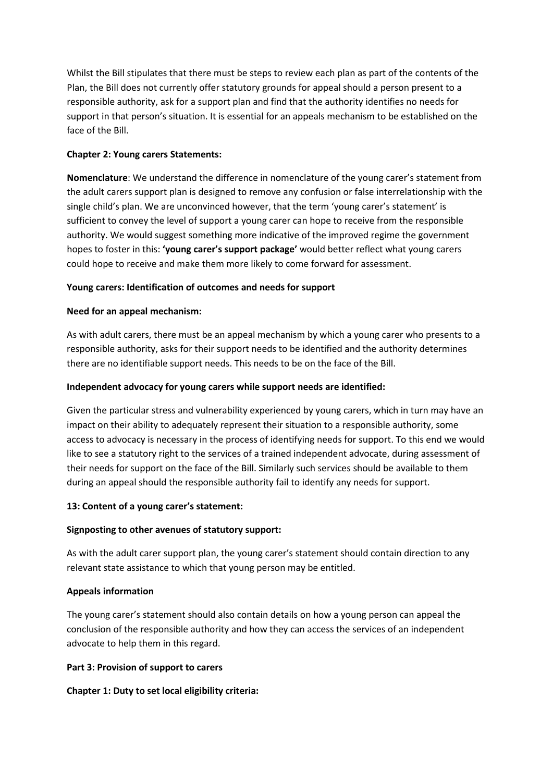Whilst the Bill stipulates that there must be steps to review each plan as part of the contents of the Plan, the Bill does not currently offer statutory grounds for appeal should a person present to a responsible authority, ask for a support plan and find that the authority identifies no needs for support in that person's situation. It is essential for an appeals mechanism to be established on the face of the Bill.

## **Chapter 2: Young carers Statements:**

**Nomenclature**: We understand the difference in nomenclature of the young carer's statement from the adult carers support plan is designed to remove any confusion or false interrelationship with the single child's plan. We are unconvinced however, that the term 'young carer's statement' is sufficient to convey the level of support a young carer can hope to receive from the responsible authority. We would suggest something more indicative of the improved regime the government hopes to foster in this: **'young carer's support package'** would better reflect what young carers could hope to receive and make them more likely to come forward for assessment.

## **Young carers: Identification of outcomes and needs for support**

## **Need for an appeal mechanism:**

As with adult carers, there must be an appeal mechanism by which a young carer who presents to a responsible authority, asks for their support needs to be identified and the authority determines there are no identifiable support needs. This needs to be on the face of the Bill.

## **Independent advocacy for young carers while support needs are identified:**

Given the particular stress and vulnerability experienced by young carers, which in turn may have an impact on their ability to adequately represent their situation to a responsible authority, some access to advocacy is necessary in the process of identifying needs for support. To this end we would like to see a statutory right to the services of a trained independent advocate, during assessment of their needs for support on the face of the Bill. Similarly such services should be available to them during an appeal should the responsible authority fail to identify any needs for support.

## **13: Content of a young carer's statement:**

## **Signposting to other avenues of statutory support:**

As with the adult carer support plan, the young carer's statement should contain direction to any relevant state assistance to which that young person may be entitled.

## **Appeals information**

The young carer's statement should also contain details on how a young person can appeal the conclusion of the responsible authority and how they can access the services of an independent advocate to help them in this regard.

## **Part 3: Provision of support to carers**

## **Chapter 1: Duty to set local eligibility criteria:**